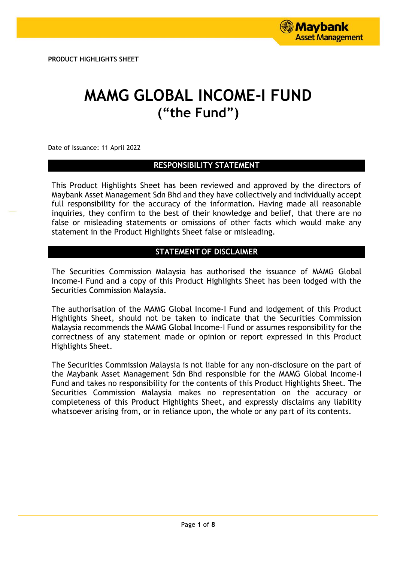**PRODUCT HIGHLIGHTS SHEET**

# **MAMG GLOBAL INCOME-I FUND ("the Fund")**

Date of Issuance: 11 April 2022

# **RESPONSIBILITY STATEMENT**

This Product Highlights Sheet has been reviewed and approved by the directors of Maybank Asset Management Sdn Bhd and they have collectively and individually accept full responsibility for the accuracy of the information. Having made all reasonable inquiries, they confirm to the best of their knowledge and belief, that there are no false or misleading statements or omissions of other facts which would make any statement in the Product Highlights Sheet false or misleading.

# **STATEMENT OF DISCLAIMER**

The Securities Commission Malaysia has authorised the issuance of MAMG Global Income-I Fund and a copy of this Product Highlights Sheet has been lodged with the Securities Commission Malaysia.

The authorisation of the MAMG Global Income-I Fund and lodgement of this Product Highlights Sheet, should not be taken to indicate that the Securities Commission Malaysia recommends the MAMG Global Income-I Fund or assumes responsibility for the correctness of any statement made or opinion or report expressed in this Product Highlights Sheet.

The Securities Commission Malaysia is not liable for any non-disclosure on the part of the Maybank Asset Management Sdn Bhd responsible for the MAMG Global Income-I Fund and takes no responsibility for the contents of this Product Highlights Sheet. The Securities Commission Malaysia makes no representation on the accuracy or completeness of this Product Highlights Sheet, and expressly disclaims any liability whatsoever arising from, or in reliance upon, the whole or any part of its contents.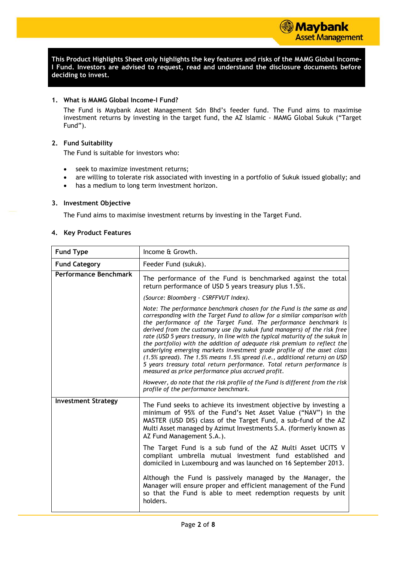**This Product Highlights Sheet only highlights the key features and risks of the MAMG Global Income-I Fund. Investors are advised to request, read and understand the disclosure documents before deciding to invest.**

# **1. What is MAMG Global Income-I Fund?**

The Fund is Maybank Asset Management Sdn Bhd's feeder fund. The Fund aims to maximise investment returns by investing in the target fund, the AZ Islamic - MAMG Global Sukuk ("Target Fund").

# **2. Fund Suitability**

The Fund is suitable for investors who:

- seek to maximize investment returns;
- are willing to tolerate risk associated with investing in a portfolio of Sukuk issued globally; and
- has a medium to long term investment horizon.

# **3. Investment Objective**

The Fund aims to maximise investment returns by investing in the Target Fund.

#### **4. Key Product Features**

| <b>Fund Type</b>             | Income & Growth.                                                                                                                                                                                                                                                                                                                                                                                                                                                                                                                                                                                                                                                                                                                                          |  |  |
|------------------------------|-----------------------------------------------------------------------------------------------------------------------------------------------------------------------------------------------------------------------------------------------------------------------------------------------------------------------------------------------------------------------------------------------------------------------------------------------------------------------------------------------------------------------------------------------------------------------------------------------------------------------------------------------------------------------------------------------------------------------------------------------------------|--|--|
| <b>Fund Category</b>         | Feeder Fund (sukuk).                                                                                                                                                                                                                                                                                                                                                                                                                                                                                                                                                                                                                                                                                                                                      |  |  |
| <b>Performance Benchmark</b> | The performance of the Fund is benchmarked against the total<br>return performance of USD 5 years treasury plus 1.5%.                                                                                                                                                                                                                                                                                                                                                                                                                                                                                                                                                                                                                                     |  |  |
|                              | (Source: Bloomberg - CSRFFVUT Index).                                                                                                                                                                                                                                                                                                                                                                                                                                                                                                                                                                                                                                                                                                                     |  |  |
|                              | Note: The performance benchmark chosen for the Fund is the same as and<br>corresponding with the Target Fund to allow for a similar comparison with<br>the performance of the Target Fund. The performance benchmark is<br>derived from the customary use (by sukuk fund managers) of the risk free<br>rate (USD 5 years treasury, in line with the typical maturity of the sukuk in<br>the portfolio) with the addition of adequate risk premium to reflect the<br>underlying emerging markets investment grade profile of the asset class<br>(1.5% spread). The 1.5% means 1.5% spread (i.e., additional return) on USD<br>5 years treasury total return performance. Total return performance is<br>measured as price performance plus accrued profit. |  |  |
|                              | However, do note that the risk profile of the Fund is different from the risk<br>profile of the performance benchmark.                                                                                                                                                                                                                                                                                                                                                                                                                                                                                                                                                                                                                                    |  |  |
| <b>Investment Strategy</b>   | The Fund seeks to achieve its investment objective by investing a<br>minimum of 95% of the Fund's Net Asset Value ("NAV") in the<br>MASTER (USD DIS) class of the Target Fund, a sub-fund of the AZ<br>Multi Asset managed by Azimut Investments S.A. (formerly known as<br>AZ Fund Management S.A.).                                                                                                                                                                                                                                                                                                                                                                                                                                                     |  |  |
|                              | The Target Fund is a sub fund of the AZ Multi Asset UCITS V<br>compliant umbrella mutual investment fund established and<br>domiciled in Luxembourg and was launched on 16 September 2013.                                                                                                                                                                                                                                                                                                                                                                                                                                                                                                                                                                |  |  |
|                              | Although the Fund is passively managed by the Manager, the<br>Manager will ensure proper and efficient management of the Fund<br>so that the Fund is able to meet redemption requests by unit<br>holders.                                                                                                                                                                                                                                                                                                                                                                                                                                                                                                                                                 |  |  |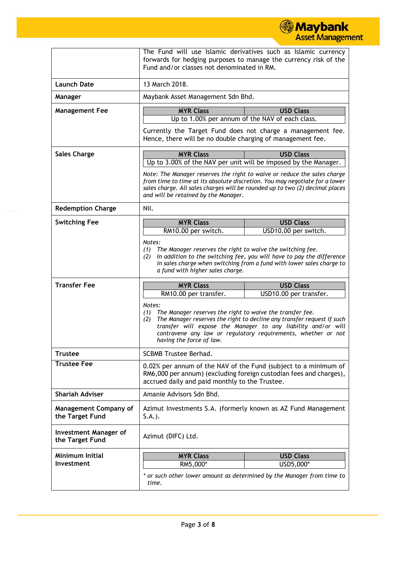|                                                 |                                                                                                                                                                                                                                                                                                                        | <b>Maybank</b><br><b>Asset Management</b>                                                                                                                                                                                               |  |
|-------------------------------------------------|------------------------------------------------------------------------------------------------------------------------------------------------------------------------------------------------------------------------------------------------------------------------------------------------------------------------|-----------------------------------------------------------------------------------------------------------------------------------------------------------------------------------------------------------------------------------------|--|
|                                                 | The Fund will use Islamic derivatives such as Islamic currency<br>forwards for hedging purposes to manage the currency risk of the<br>Fund and/or classes not denominated in RM.                                                                                                                                       |                                                                                                                                                                                                                                         |  |
| <b>Launch Date</b>                              | 13 March 2018.                                                                                                                                                                                                                                                                                                         |                                                                                                                                                                                                                                         |  |
| Manager                                         | Maybank Asset Management Sdn Bhd.                                                                                                                                                                                                                                                                                      |                                                                                                                                                                                                                                         |  |
| <b>Management Fee</b>                           | <b>MYR Class</b>                                                                                                                                                                                                                                                                                                       | <b>USD Class</b>                                                                                                                                                                                                                        |  |
|                                                 |                                                                                                                                                                                                                                                                                                                        | Up to 1.00% per annum of the NAV of each class.                                                                                                                                                                                         |  |
|                                                 | Hence, there will be no double charging of management fee.                                                                                                                                                                                                                                                             | Currently the Target Fund does not charge a management fee.                                                                                                                                                                             |  |
| <b>Sales Charge</b>                             | <b>MYR Class</b>                                                                                                                                                                                                                                                                                                       | <b>USD Class</b>                                                                                                                                                                                                                        |  |
|                                                 |                                                                                                                                                                                                                                                                                                                        | Up to 3.00% of the NAV per unit will be imposed by the Manager.                                                                                                                                                                         |  |
|                                                 | and will be retained by the Manager.                                                                                                                                                                                                                                                                                   | Note: The Manager reserves the right to waive or reduce the sales charge<br>from time to time at its absolute discretion. You may negotiate for a lower<br>sales charge. All sales charges will be rounded up to two (2) decimal places |  |
| <b>Redemption Charge</b>                        | Nil.                                                                                                                                                                                                                                                                                                                   |                                                                                                                                                                                                                                         |  |
| <b>Switching Fee</b>                            | <b>MYR Class</b><br><b>USD Class</b><br>USD10.00 per switch.<br>RM10.00 per switch.                                                                                                                                                                                                                                    |                                                                                                                                                                                                                                         |  |
|                                                 |                                                                                                                                                                                                                                                                                                                        |                                                                                                                                                                                                                                         |  |
| <b>Transfer Fee</b>                             | In addition to the switching fee, you will have to pay the difference<br>(2)<br>in sales charge when switching from a fund with lower sales charge to<br>a fund with higher sales charge.<br><b>MYR Class</b><br><b>USD Class</b>                                                                                      |                                                                                                                                                                                                                                         |  |
|                                                 | RM10.00 per transfer.                                                                                                                                                                                                                                                                                                  | USD10.00 per transfer.                                                                                                                                                                                                                  |  |
|                                                 | Notes:<br>The Manager reserves the right to waive the transfer fee.<br>(1)<br>(2) The Manager reserves the right to decline any transfer request if such<br>transfer will expose the Manager to any liability and/or will<br>contravene any law or regulatory requirements, whether or not<br>having the force of law. |                                                                                                                                                                                                                                         |  |
| <b>Trustee</b>                                  | <b>SCBMB Trustee Berhad.</b>                                                                                                                                                                                                                                                                                           |                                                                                                                                                                                                                                         |  |
| <b>Trustee Fee</b>                              | 0.02% per annum of the NAV of the Fund (subject to a minimum of<br>RM6,000 per annum) (excluding foreign custodian fees and charges),<br>accrued daily and paid monthly to the Trustee.                                                                                                                                |                                                                                                                                                                                                                                         |  |
| <b>Shariah Adviser</b>                          | Amanie Advisors Sdn Bhd.                                                                                                                                                                                                                                                                                               |                                                                                                                                                                                                                                         |  |
| <b>Management Company of</b><br>the Target Fund | Azimut Investments S.A. (formerly known as AZ Fund Management<br>$S.A.$ ).                                                                                                                                                                                                                                             |                                                                                                                                                                                                                                         |  |
| <b>Investment Manager of</b><br>the Target Fund | Azimut (DIFC) Ltd.                                                                                                                                                                                                                                                                                                     |                                                                                                                                                                                                                                         |  |
| <b>Minimum Initial</b>                          | <b>MYR Class</b>                                                                                                                                                                                                                                                                                                       | <b>USD Class</b>                                                                                                                                                                                                                        |  |
| Investment                                      | RM5,000*                                                                                                                                                                                                                                                                                                               | USD5,000*                                                                                                                                                                                                                               |  |
|                                                 | time.                                                                                                                                                                                                                                                                                                                  | or such other lower amount as determined by the Manager from time to                                                                                                                                                                    |  |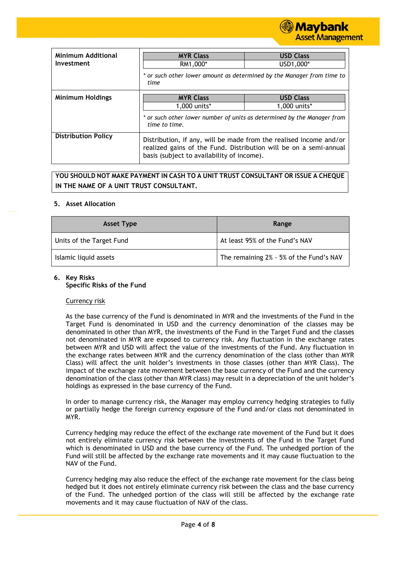

| <b>Minimum Additional</b>  |                                                                                                                                                                                       |                  |  |  |  |
|----------------------------|---------------------------------------------------------------------------------------------------------------------------------------------------------------------------------------|------------------|--|--|--|
|                            | <b>MYR Class</b>                                                                                                                                                                      | <b>USD Class</b> |  |  |  |
| Investment                 | RM1,000*                                                                                                                                                                              | USD1,000*        |  |  |  |
|                            | * or such other lower amount as determined by the Manager from time to<br>time                                                                                                        |                  |  |  |  |
| <b>Minimum Holdings</b>    | <b>MYR Class</b><br><b>USD Class</b>                                                                                                                                                  |                  |  |  |  |
|                            | 1,000 units*                                                                                                                                                                          | 1,000 units*     |  |  |  |
|                            | * or such other lower number of units as determined by the Manager from<br>time to time.                                                                                              |                  |  |  |  |
| <b>Distribution Policy</b> | Distribution, if any, will be made from the realised income and/or<br>realized gains of the Fund. Distribution will be on a semi-annual<br>basis (subject to availability of income). |                  |  |  |  |

# **YOU SHOULD NOT MAKE PAYMENT IN CASH TO A UNIT TRUST CONSULTANT OR ISSUE A CHEQUE IN THE NAME OF A UNIT TRUST CONSULTANT.**

## **5. Asset Allocation**

| <b>Asset Type</b>        | Range                                   |
|--------------------------|-----------------------------------------|
| Units of the Target Fund | At least 95% of the Fund's NAV          |
| Islamic liquid assets    | The remaining 2% - 5% of the Fund's NAV |

## **6. Key Risks**

#### **Specific Risks of the Fund**

#### Currency risk

As the base currency of the Fund is denominated in MYR and the investments of the Fund in the Target Fund is denominated in USD and the currency denomination of the classes may be denominated in other than MYR, the investments of the Fund in the Target Fund and the classes not denominated in MYR are exposed to currency risk. Any fluctuation in the exchange rates between MYR and USD will affect the value of the investments of the Fund. Any fluctuation in the exchange rates between MYR and the currency denomination of the class (other than MYR Class) will affect the unit holder's investments in those classes (other than MYR Class). The impact of the exchange rate movement between the base currency of the Fund and the currency denomination of the class (other than MYR class) may result in a depreciation of the unit holder's holdings as expressed in the base currency of the Fund.

In order to manage currency risk, the Manager may employ currency hedging strategies to fully or partially hedge the foreign currency exposure of the Fund and/or class not denominated in MYR.

Currency hedging may reduce the effect of the exchange rate movement of the Fund but it does not entirely eliminate currency risk between the investments of the Fund in the Target Fund which is denominated in USD and the base currency of the Fund. The unhedged portion of the Fund will still be affected by the exchange rate movements and it may cause fluctuation to the NAV of the Fund.

Currency hedging may also reduce the effect of the exchange rate movement for the class being hedged but it does not entirely eliminate currency risk between the class and the base currency of the Fund. The unhedged portion of the class will still be affected by the exchange rate movements and it may cause fluctuation of NAV of the class.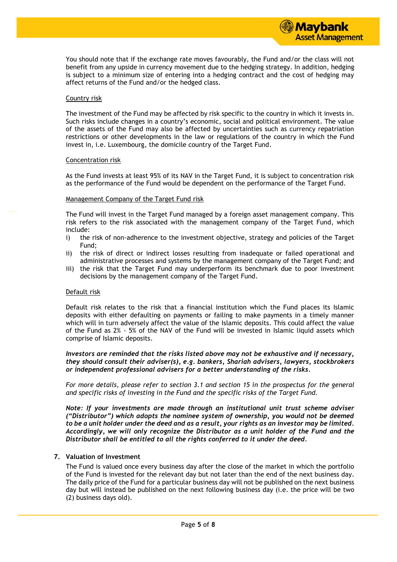

You should note that if the exchange rate moves favourably, the Fund and/or the class will not benefit from any upside in currency movement due to the hedging strategy. In addition, hedging is subject to a minimum size of entering into a hedging contract and the cost of hedging may affect returns of the Fund and/or the hedged class.

#### Country risk

The investment of the Fund may be affected by risk specific to the country in which it invests in. Such risks include changes in a country's economic, social and political environment. The value of the assets of the Fund may also be affected by uncertainties such as currency repatriation restrictions or other developments in the law or regulations of the country in which the Fund invest in, i.e. Luxembourg, the domicile country of the Target Fund.

#### Concentration risk

As the Fund invests at least 95% of its NAV in the Target Fund, it is subject to concentration risk as the performance of the Fund would be dependent on the performance of the Target Fund.

#### Management Company of the Target Fund risk

The Fund will invest in the Target Fund managed by a foreign asset management company. This risk refers to the risk associated with the management company of the Target Fund, which include:

- i) the risk of non-adherence to the investment objective, strategy and policies of the Target Fund;
- ii) the risk of direct or indirect losses resulting from inadequate or failed operational and administrative processes and systems by the management company of the Target Fund; and
- iii) the risk that the Target Fund may underperform its benchmark due to poor investment decisions by the management company of the Target Fund.

#### Default risk

Default risk relates to the risk that a financial institution which the Fund places its Islamic deposits with either defaulting on payments or failing to make payments in a timely manner which will in turn adversely affect the value of the Islamic deposits. This could affect the value of the Fund as 2% - 5% of the NAV of the Fund will be invested in Islamic liquid assets which comprise of Islamic deposits.

### *Investors are reminded that the risks listed above may not be exhaustive and if necessary, they should consult their adviser(s), e.g. bankers, Shariah advisers, lawyers, stockbrokers or independent professional advisers for a better understanding of the risks.*

*For more details, please refer to section 3.1 and section 15 in the prospectus for the general and specific risks of investing in the Fund and the specific risks of the Target Fund.*

*Note: If your investments are made through an institutional unit trust scheme adviser ("Distributor") which adopts the nominee system of ownership, you would not be deemed to be a unit holder under the deed and as a result, your rights as an investor may be limited. Accordingly, we will only recognize the Distributor as a unit holder of the Fund and the Distributor shall be entitled to all the rights conferred to it under the deed.*

# **7. Valuation of Investment**

The Fund is valued once every business day after the close of the market in which the portfolio of the Fund is invested for the relevant day but not later than the end of the next business day. The daily price of the Fund for a particular business day will not be published on the next business day but will instead be published on the next following business day (i.e. the price will be two (2) business days old).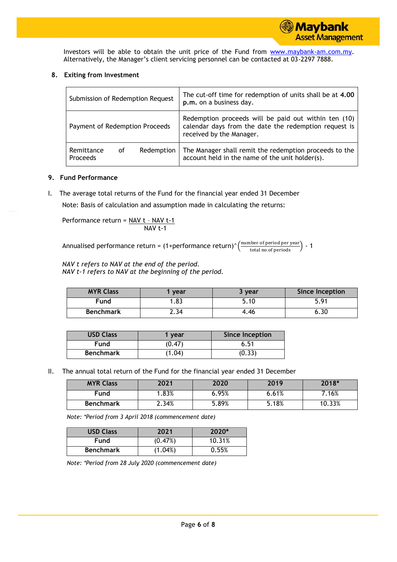Investors will be able to obtain the unit price of the Fund from [www.maybank-am.com.](http://www.maybank-am.com/)my. Alternatively, the Manager's client servicing personnel can be contacted at 03-2297 7888.

# **8. Exiting from Investment**

| Submission of Redemption Request                  | The cut-off time for redemption of units shall be at 4.00<br>p.m. on a business day.                                                      |
|---------------------------------------------------|-------------------------------------------------------------------------------------------------------------------------------------------|
| Payment of Redemption Proceeds                    | Redemption proceeds will be paid out within ten (10)<br>calendar days from the date the redemption request is<br>received by the Manager. |
| Redemption<br>Remittance<br>οf<br><b>Proceeds</b> | The Manager shall remit the redemption proceeds to the<br>account held in the name of the unit holder(s).                                 |

# **9. Fund Performance**

I. The average total returns of the Fund for the financial year ended 31 December

Note: Basis of calculation and assumption made in calculating the returns:

Performance return = 
$$
\frac{NAV t - NAV t-1}{NAV t-1}
$$

Annualised performance return = (1+performance return)^ $\left(\frac{\text{number of period per year}}{\text{total no. of periods}}\right)$  - 1

*NAV t refers to NAV at the end of the period. NAV t-1 refers to NAV at the beginning of the period.*

| <b>MYR Class</b> | vear | 3 year | <b>Since Inception</b> |
|------------------|------|--------|------------------------|
| Fund             | .83  | 5.10   | 591                    |
| <b>Benchmark</b> | 2.34 | 4.46   | טנ.ס                   |

| <b>USD Class</b> | vear   | Since Inception |
|------------------|--------|-----------------|
| Fund             | (0.47) | 6.51            |
| <b>Benchmark</b> | (1.04) | (0.33)          |

II. The annual total return of the Fund for the financial year ended 31 December

| <b>MYR Class</b> | 2021  | 2020  | 2019  | 2018*  |
|------------------|-------|-------|-------|--------|
| Fund             | .83%  | 6.95% | 6.61% | 7.16%  |
| <b>Benchmark</b> | 2.34% | 3.89% | 5.18% | 10.33% |

*Note: \*Period from 3 April 2018 (commencement date)*

| <b>USD Class</b> | 2021    | $2020*$ |
|------------------|---------|---------|
| Fund             | (0.47%) | 10.31%  |
| <b>Benchmark</b> | (1.04%) | 0.55%   |

*Note: \*Period from 28 July 2020 (commencement date)*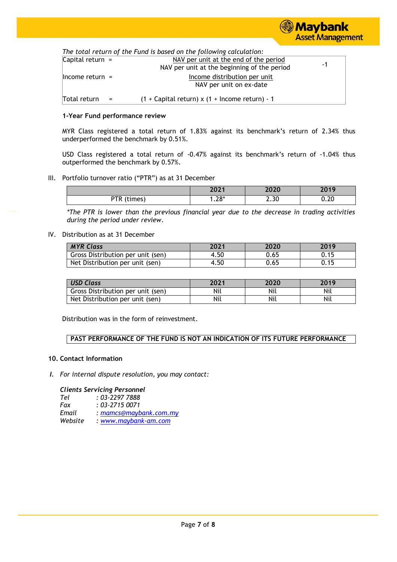

*The total return of the Fund is based on the following calculation:*

|                     |     | $\frac{1}{100}$ column of the Fund is based on the following calculation. |    |
|---------------------|-----|---------------------------------------------------------------------------|----|
| Capital return $=$  |     | NAV per unit at the end of the period                                     | -1 |
|                     |     | NAV per unit at the beginning of the period                               |    |
| $ $ Income return = |     | Income distribution per unit                                              |    |
|                     |     | NAV per unit on ex-date                                                   |    |
| Total return        | $=$ | $(1 +$ Capital return) x $(1 +$ Income return) - 1                        |    |
|                     |     |                                                                           |    |

#### **1-Year Fund performance review**

MYR Class registered a total return of 1.83% against its benchmark's return of 2.34% thus underperformed the benchmark by 0.51%.

USD Class registered a total return of -0.47% against its benchmark's return of -1.04% thus outperformed the benchmark by 0.57%.

# III. Portfolio turnover ratio ("PTR") as at 31 December

|                    | 2021        | חרחר | 3010           |
|--------------------|-------------|------|----------------|
|                    | <b>LULI</b> | ZUZU | 20 I 7         |
| סדם<br>times)<br>. | $.28*$      | 2.30 | $\sim$<br>∪.∠∪ |

*\*The PTR is lower than the previous financial year due to the decrease in trading activities during the period under review.*

#### IV. Distribution as at 31 December

| <b>MYR Class</b>                  | 2021 | 2020 | 2019 |
|-----------------------------------|------|------|------|
| Gross Distribution per unit (sen) | 4.50 | 0.65 | 0.15 |
| Net Distribution per unit (sen)   | 4.50 | 0.65 | 0.15 |

| <b>USD Class</b>                  | 2021 | 2020 | 2019 |
|-----------------------------------|------|------|------|
| Gross Distribution per unit (sen) | Nil  | Nil  | Nil  |
| Net Distribution per unit (sen)   | Nil  | Nil  | Nil  |

Distribution was in the form of reinvestment.

# **PAST PERFORMANCE OF THE FUND IS NOT AN INDICATION OF ITS FUTURE PERFORMANCE**

#### **10. Contact Information**

*I. For internal dispute resolution, you may contact:*

#### *Clients Servicing Personnel*

| Tel     | $: 03 - 22977888$      |
|---------|------------------------|
| Fax     | $: 03 - 27150071$      |
| Email   | : mamcs@maybank.com.my |
| Website | $: www.mavbank-am.com$ |